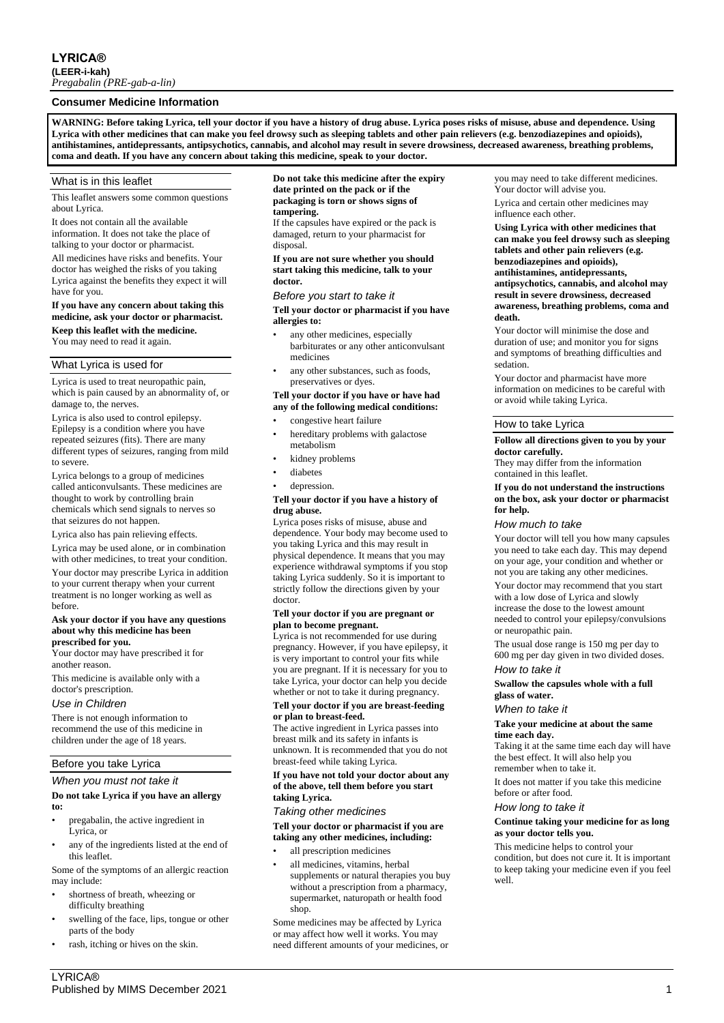## **Consumer Medicine Information**

**WARNING: Before taking Lyrica, tell your doctor if you have a history of drug abuse. Lyrica poses risks of misuse, abuse and dependence. Using Lyrica with other medicines that can make you feel drowsy such as sleeping tablets and other pain relievers (e.g. benzodiazepines and opioids), antihistamines, antidepressants, antipsychotics, cannabis, and alcohol may result in severe drowsiness, decreased awareness, breathing problems, coma and death. If you have any concern about taking this medicine, speak to your doctor.**

## What is in this leaflet

This leaflet answers some common questions about Lyrica.

It does not contain all the available information. It does not take the place of talking to your doctor or pharmacist.

All medicines have risks and benefits. Your doctor has weighed the risks of you taking Lyrica against the benefits they expect it will have for you.

## **If you have any concern about taking this medicine, ask your doctor or pharmacist. Keep this leaflet with the medicine.**

You may need to read it again.

## What Lyrica is used for

Lyrica is used to treat neuropathic pain, which is pain caused by an abnormality of, or damage to, the nerves.

Lyrica is also used to control epilepsy. Epilepsy is a condition where you have repeated seizures (fits). There are many different types of seizures, ranging from mild to severe.

Lyrica belongs to a group of medicines called anticonvulsants. These medicines are thought to work by controlling brain chemicals which send signals to nerves so that seizures do not happen.

Lyrica also has pain relieving effects.

Lyrica may be used alone, or in combination with other medicines, to treat your condition.

Your doctor may prescribe Lyrica in addition to your current therapy when your current treatment is no longer working as well as before.

#### **Ask your doctor if you have any questions about why this medicine has been prescribed for you.**

Your doctor may have prescribed it for another reason.

This medicine is available only with a doctor's prescription.

#### *Use in Children*

There is not enough information to recommend the use of this medicine in children under the age of 18 years.

## Before you take Lyrica

## *When you must not take it*

## **Do not take Lyrica if you have an allergy to:**

- pregabalin, the active ingredient in Lyrica, or
- any of the ingredients listed at the end of this leaflet.

Some of the symptoms of an allergic reaction may include:

- shortness of breath, wheezing or difficulty breathing
- swelling of the face, lips, tongue or other parts of the body
- rash, itching or hives on the skin.

## **Do not take this medicine after the expiry date printed on the pack or if the packaging is torn or shows signs of tampering.**

If the capsules have expired or the pack is damaged, return to your pharmacist for disposal.

**If you are not sure whether you should start taking this medicine, talk to your doctor.**

#### *Before you start to take it*

**Tell your doctor or pharmacist if you have allergies to:**

- any other medicines, especially barbiturates or any other anticonvulsant medicines
- any other substances, such as foods, preservatives or dyes.

## **Tell your doctor if you have or have had any of the following medical conditions:**

- congestive heart failure
- hereditary problems with galactose metabolism
- kidney problems
- diabetes
- depression.

#### **Tell your doctor if you have a history of drug abuse.**

Lyrica poses risks of misuse, abuse and dependence. Your body may become used to you taking Lyrica and this may result in physical dependence. It means that you may experience withdrawal symptoms if you stop taking Lyrica suddenly. So it is important to strictly follow the directions given by your doctor.

### **Tell your doctor if you are pregnant or plan to become pregnant.**

Lyrica is not recommended for use during pregnancy. However, if you have epilepsy, it is very important to control your fits while you are pregnant. If it is necessary for you to take Lyrica, your doctor can help you decide whether or not to take it during pregnancy.

#### **Tell your doctor if you are breast-feeding or plan to breast-feed.**

The active ingredient in Lyrica passes into breast milk and its safety in infants is unknown. It is recommended that you do not breast-feed while taking Lyrica.

#### **If you have not told your doctor about any of the above, tell them before you start taking Lyrica.**

#### *Taking other medicines*

**Tell your doctor or pharmacist if you are taking any other medicines, including:**

- all prescription medicines
- all medicines, vitamins, herbal supplements or natural therapies you buy without a prescription from a pharmacy, supermarket, naturopath or health food shop.

Some medicines may be affected by Lyrica or may affect how well it works. You may need different amounts of your medicines, or you may need to take different medicines. Your doctor will advise you.

Lyrica and certain other medicines may influence each other.

**Using Lyrica with other medicines that can make you feel drowsy such as sleeping tablets and other pain relievers (e.g. benzodiazepines and opioids), antihistamines, antidepressants, antipsychotics, cannabis, and alcohol may result in severe drowsiness, decreased awareness, breathing problems, coma and death.**

Your doctor will minimise the dose and duration of use; and monitor you for signs and symptoms of breathing difficulties and sedation.

Your doctor and pharmacist have more information on medicines to be careful with or avoid while taking Lyrica.

#### How to take Lyrica

**Follow all directions given to you by your doctor carefully.**

They may differ from the information contained in this leaflet.

#### **If you do not understand the instructions on the box, ask your doctor or pharmacist for help.**

## *How much to take*

Your doctor will tell you how many capsules you need to take each day. This may depend on your age, your condition and whether or not you are taking any other medicines.

Your doctor may recommend that you start with a low dose of Lyrica and slowly increase the dose to the lowest amount needed to control your epilepsy/convulsions or neuropathic pain.

The usual dose range is 150 mg per day to 600 mg per day given in two divided doses.

# *How to take it*

**Swallow the capsules whole with a full glass of water.**

#### *When to take it*

**Take your medicine at about the same time each day.**

Taking it at the same time each day will have the best effect. It will also help you remember when to take it.

It does not matter if you take this medicine before or after food.

#### *How long to take it*

#### **Continue taking your medicine for as long as your doctor tells you.**

This medicine helps to control your condition, but does not cure it. It is important to keep taking your medicine even if you feel well.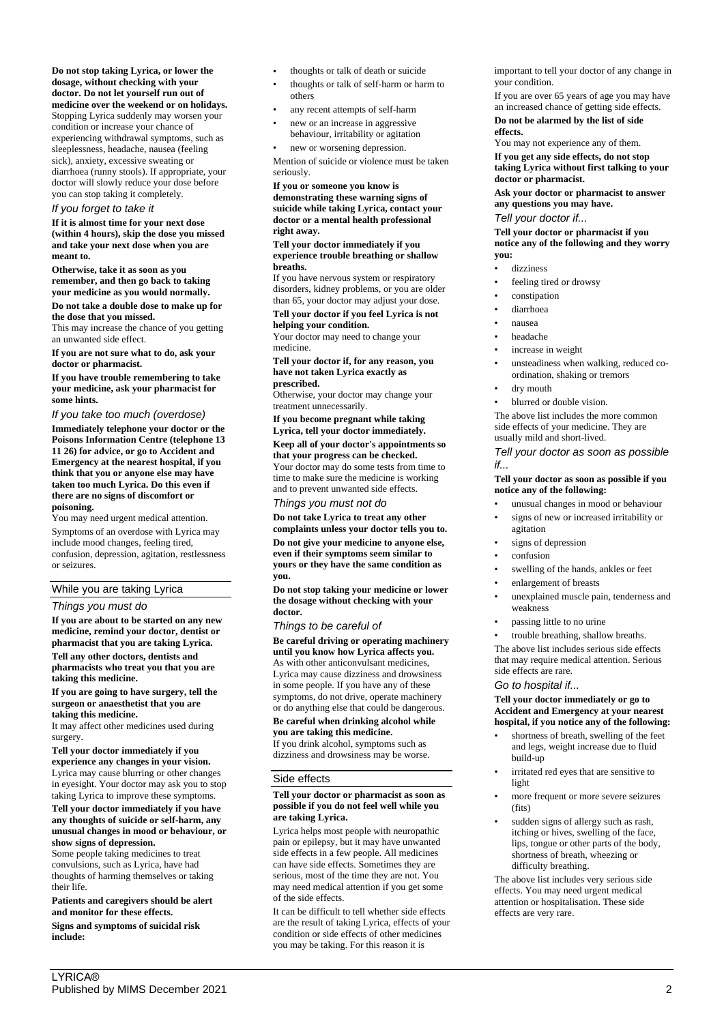**Do not stop taking Lyrica, or lower the dosage, without checking with your doctor. Do not let yourself run out of medicine over the weekend or on holidays.** Stopping Lyrica suddenly may worsen your

condition or increase your chance of experiencing withdrawal symptoms, such as sleeplessness, headache, nausea (feeling sick), anxiety, excessive sweating or diarrhoea (runny stools). If appropriate, your doctor will slowly reduce your dose before you can stop taking it completely.

## *If you forget to take it*

**If it is almost time for your next dose (within 4 hours), skip the dose you missed and take your next dose when you are meant to.**

**Otherwise, take it as soon as you remember, and then go back to taking your medicine as you would normally.**

**Do not take a double dose to make up for the dose that you missed.**

This may increase the chance of you getting an unwanted side effect.

**If you are not sure what to do, ask your doctor or pharmacist.**

**If you have trouble remembering to take your medicine, ask your pharmacist for some hints.**

## *If you take too much (overdose)*

**Immediately telephone your doctor or the Poisons Information Centre (telephone 13 11 26) for advice, or go to Accident and Emergency at the nearest hospital, if you think that you or anyone else may have taken too much Lyrica. Do this even if there are no signs of discomfort or poisoning.**

You may need urgent medical attention. Symptoms of an overdose with Lyrica may include mood changes, feeling tired, confusion, depression, agitation, restlessness or seizures.

## While you are taking Lyrica

## *Things you must do*

**If you are about to be started on any new medicine, remind your doctor, dentist or pharmacist that you are taking Lyrica. Tell any other doctors, dentists and** 

**pharmacists who treat you that you are taking this medicine.**

**If you are going to have surgery, tell the surgeon or anaesthetist that you are taking this medicine.**

It may affect other medicines used during surgery.

**Tell your doctor immediately if you experience any changes in your vision.** Lyrica may cause blurring or other changes in eyesight. Your doctor may ask you to stop taking Lyrica to improve these symptoms.

#### **Tell your doctor immediately if you have any thoughts of suicide or self-harm, any unusual changes in mood or behaviour, or show signs of depression.**

Some people taking medicines to treat convulsions, such as Lyrica, have had thoughts of harming themselves or taking their life.

**Patients and caregivers should be alert and monitor for these effects.**

**Signs and symptoms of suicidal risk include:**

- thoughts or talk of death or suicide
- thoughts or talk of self-harm or harm to others
- any recent attempts of self-harm
- new or an increase in aggressive
- behaviour, irritability or agitation new or worsening depression.

Mention of suicide or violence must be taken seriously.

**If you or someone you know is demonstrating these warning signs of suicide while taking Lyrica, contact your doctor or a mental health professional right away.**

**Tell your doctor immediately if you experience trouble breathing or shallow breaths.**

If you have nervous system or respiratory disorders, kidney problems, or you are older than 65, your doctor may adjust your dose.

**Tell your doctor if you feel Lyrica is not helping your condition.**

Your doctor may need to change your medicine.

**Tell your doctor if, for any reason, you have not taken Lyrica exactly as prescribed.**

Otherwise, your doctor may change your treatment unnecessarily.

**If you become pregnant while taking Lyrica, tell your doctor immediately.**

## **Keep all of your doctor's appointments so that your progress can be checked.**

Your doctor may do some tests from time to time to make sure the medicine is working and to prevent unwanted side effects.

*Things you must not do*

**Do not take Lyrica to treat any other complaints unless your doctor tells you to.**

**Do not give your medicine to anyone else, even if their symptoms seem similar to yours or they have the same condition as you.**

**Do not stop taking your medicine or lower the dosage without checking with your doctor.**

*Things to be careful of*

**Be careful driving or operating machinery until you know how Lyrica affects you.** As with other anticonvulsant medicines, Lyrica may cause dizziness and drowsiness in some people. If you have any of these symptoms, do not drive, operate machinery or do anything else that could be dangerous.

## **Be careful when drinking alcohol while you are taking this medicine.**

If you drink alcohol, symptoms such as dizziness and drowsiness may be worse.

## Side effects

## **Tell your doctor or pharmacist as soon as possible if you do not feel well while you are taking Lyrica.**

Lyrica helps most people with neuropathic pain or epilepsy, but it may have unwanted side effects in a few people. All medicines can have side effects. Sometimes they are serious, most of the time they are not. You may need medical attention if you get some of the side effects.

It can be difficult to tell whether side effects are the result of taking Lyrica, effects of your condition or side effects of other medicines you may be taking. For this reason it is

important to tell your doctor of any change in your condition.

If you are over 65 years of age you may have an increased chance of getting side effects.

**Do not be alarmed by the list of side effects.**

You may not experience any of them. **If you get any side effects, do not stop taking Lyrica without first talking to your doctor or pharmacist.**

**Ask your doctor or pharmacist to answer any questions you may have.**

## *Tell your doctor if...*

**Tell your doctor or pharmacist if you notice any of the following and they worry you:**

- dizziness
- feeling tired or drowsy
- constipation
- diarrhoea
- nausea
- headache
- increase in weight
- unsteadiness when walking, reduced coordination, shaking or tremors
- dry mouth
- blurred or double vision.

The above list includes the more common side effects of your medicine. They are usually mild and short-lived.

## *Tell your doctor as soon as possible if...*

## **Tell your doctor as soon as possible if you notice any of the following:**

- unusual changes in mood or behaviour
- signs of new or increased irritability or agitation
- signs of depression
- confusion
- swelling of the hands, ankles or feet
- enlargement of breasts
- unexplained muscle pain, tenderness and weakness
- passing little to no urine
- trouble breathing, shallow breaths.

The above list includes serious side effects that may require medical attention. Serious side effects are rare.

## *Go to hospital if...*

**Tell your doctor immediately or go to Accident and Emergency at your nearest hospital, if you notice any of the following:**

- shortness of breath, swelling of the feet and legs, weight increase due to fluid build-up
- irritated red eyes that are sensitive to light
- more frequent or more severe seizures (fits)
- sudden signs of allergy such as rash, itching or hives, swelling of the face, lips, tongue or other parts of the body, shortness of breath, wheezing or difficulty breathing.

The above list includes very serious side effects. You may need urgent medical attention or hospitalisation. These side effects are very rare.